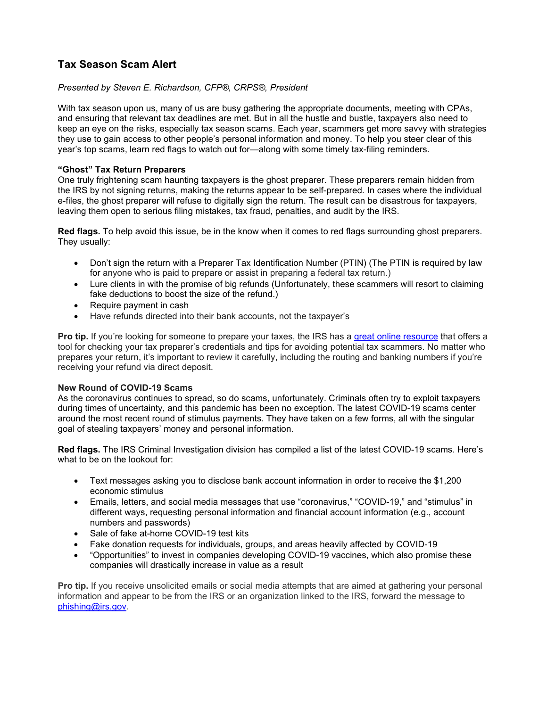# **Tax Season Scam Alert**

# *Presented by Steven E. Richardson, CFP®, CRPS®, President*

With tax season upon us, many of us are busy gathering the appropriate documents, meeting with CPAs, and ensuring that relevant tax deadlines are met. But in all the hustle and bustle, taxpayers also need to keep an eye on the risks, especially tax season scams. Each year, scammers get more savvy with strategies they use to gain access to other people's personal information and money. To help you steer clear of this year's top scams, learn red flags to watch out for—along with some timely tax-filing reminders.

# **"Ghost" Tax Return Preparers**

One truly frightening scam haunting taxpayers is the ghost preparer. These preparers remain hidden from the IRS by not signing returns, making the returns appear to be self-prepared. In cases where the individual e-files, the ghost preparer will refuse to digitally sign the return. The result can be disastrous for taxpayers, leaving them open to serious filing mistakes, tax fraud, penalties, and audit by the IRS.

**Red flags.** To help avoid this issue, be in the know when it comes to red flags surrounding ghost preparers. They usually:

- Don't sign the return with a Preparer Tax Identification Number (PTIN) (The PTIN is required by law for anyone who is paid to prepare or assist in preparing a federal tax return.)
- Lure clients in with the promise of big refunds (Unfortunately, these scammers will resort to claiming fake deductions to boost the size of the refund.)
- Require payment in cash
- Have refunds directed into their bank accounts, not the taxpayer's

**Pro tip.** If you're looking for someone to prepare your taxes, the IRS has a [great online resource](https://www.irs.gov/tax-professionals/choosing-a-tax-professional) that offers a tool for checking your tax preparer's credentials and tips for avoiding potential tax scammers. No matter who prepares your return, it's important to review it carefully, including the routing and banking numbers if you're receiving your refund via direct deposit.

### **New Round of COVID-19 Scams**

As the coronavirus continues to spread, so do scams, unfortunately. Criminals often try to exploit taxpayers during times of uncertainty, and this pandemic has been no exception. The latest COVID-19 scams center around the most recent round of stimulus payments. They have taken on a few forms, all with the singular goal of stealing taxpayers' money and personal information.

**Red flags.** The IRS Criminal Investigation division has compiled a list of the latest COVID-19 scams. Here's what to be on the lookout for:

- Text messages asking you to disclose bank account information in order to receive the \$1,200 economic stimulus
- Emails, letters, and social media messages that use "coronavirus," "COVID-19," and "stimulus" in different ways, requesting personal information and financial account information (e.g., account numbers and passwords)
- Sale of fake at-home COVID-19 test kits
- Fake donation requests for individuals, groups, and areas heavily affected by COVID-19
- "Opportunities" to invest in companies developing COVID-19 vaccines, which also promise these companies will drastically increase in value as a result

**Pro tip.** If you receive unsolicited emails or social media attempts that are aimed at gathering your personal information and appear to be from the IRS or an organization linked to the IRS, forward the message to [phishing@irs.gov.](mailto:phishing@irs.gov)